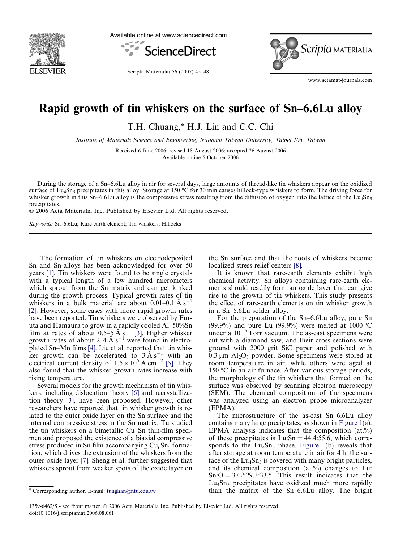

Available online at www.sciencedirect.com



Scripta Materialia 56 (2007) 45–48



www.actamat-journals.com

## Rapid growth of tin whiskers on the surface of Sn–6.6Lu alloy

T.H. Chuang,\* H.J. Lin and C.C. Chi

Institute of Materials Science and Engineering, National Taiwan University, Taipei 106, Taiwan

Received 6 June 2006; revised 18 August 2006; accepted 26 August 2006 Available online 5 October 2006

During the storage of a Sn–6.6Lu alloy in air for several days, large amounts of thread-like tin whiskers appear on the oxidized surface of Lu<sub>4</sub>Sn<sub>5</sub> precipitates in this alloy. Storage at 150 °C for 30 min causes hillock-type whiskers to form. The driving force for whisker growth in this Sn–6.6Lu alloy is the compressive stress resulting from the diffusion of oxygen into the lattice of the Lu<sub>4</sub>Sn<sub>5</sub> precipitates.

2006 Acta Materialia Inc. Published by Elsevier Ltd. All rights reserved.

Keywords: Sn–6.6Lu; Rare-earth element; Tin whiskers; Hillocks

The formation of tin whiskers on electrodeposited Sn and Sn-alloys has been acknowledged for over 50 years [\[1\].](#page-3-0) Tin whiskers were found to be single crystals with a typical length of a few hundred micrometers which sprout from the Sn matrix and can get kinked during the growth process. Typical growth rates of tin whiskers in a bulk material are about  $0.01-0.1 \text{ Å s}^{-1}$ [\[2\].](#page-3-0) However, some cases with more rapid growth rates have been reported. Tin whiskers were observed by Furuta and Hamaura to grow in a rapidly cooled Al–50%Sn film at rates of about 0.5–5 Å s<sup>-1</sup> [\[3\]](#page-3-0). Higher whisker growth rates of about 2–4  $\AA$  s<sup>-1</sup> were found in electroplated Sn–Mn films [\[4\]](#page-3-0). Liu et al. reported that tin whisker growth can be accelerated to  $3 \text{ Å s}^{-1}$  with an electrical current density of  $1.5 \times 10^5$  A cm<sup>-2</sup> [\[5\]](#page-3-0). They also found that the whisker growth rates increase with rising temperature.

Several models for the growth mechanism of tin whiskers, including dislocation theory [\[6\]](#page-3-0) and recrystallization theory [\[3\],](#page-3-0) have been proposed. However, other researchers have reported that tin whisker growth is related to the outer oxide layer on the Sn surface and the internal compressive stress in the Sn matrix. Tu studied the tin whiskers on a bimetallic Cu–Sn thin-film specimen and proposed the existence of a biaxial compressive stress produced in Sn film accompanying  $Cu<sub>6</sub>Sn<sub>5</sub>$  formation, which drives the extrusion of the whiskers from the outer oxide layer [\[7\].](#page-3-0) Sheng et al. further suggested that whiskers sprout from weaker spots of the oxide layer on

the Sn surface and that the roots of whiskers become localized stress relief centers [\[8\]](#page-3-0).

It is known that rare-earth elements exhibit high chemical activity. Sn alloys containing rare-earth elements should readily form an oxide layer that can give rise to the growth of tin whiskers. This study presents the effect of rare-earth elements on tin whisker growth in a Sn–6.6Lu solder alloy.

For the preparation of the Sn–6.6Lu alloy, pure Sn (99.9%) and pure Lu (99.9%) were melted at 1000  $\degree$ C under a  $10^{-5}$  Torr vacuum. The as-cast specimens were cut with a diamond saw, and their cross sections were ground with 2000 grit SiC paper and polished with  $0.3 \mu m$  Al<sub>2</sub>O<sub>3</sub> powder. Some specimens were stored at room temperature in air, while others were aged at 150 °C in an air furnace. After various storage periods, the morphology of the tin whiskers that formed on the surface was observed by scanning electron microscopy (SEM). The chemical composition of the specimens was analyzed using an electron probe microanalyzer (EPMA).

The microstructure of the as-cast Sn–6.6Lu alloy contains many large precipitates, as shown in [Figure 1\(](#page-1-0)a). EPMA analysis indicates that the composition  $(at.^{\theta}\theta)$ of these precipitates is  $Lu:Sn = 44.4:55.6$ , which corresponds to the  $Lu_4Sn_5$  phase. [Figure 1\(](#page-1-0)b) reveals that after storage at room temperature in air for 4 h, the surface of the  $Lu_4Sn_5$  is covered with many bright particles, and its chemical composition (at.%) changes to Lu:  $Sn:O = 37.2:29.3:33.5$ . This result indicates that the  $Lu_4Sn_5$  precipitates have oxidized much more rapidly than the matrix of the Sn–6.6Lu alloy. The bright

<sup>\*</sup> Corresponding author. E-mail: [tunghan@ntu.edu.tw](mailto:tunghan@ntu.edu.tw)

<sup>1359-6462/\$ -</sup> see front matter 2006 Acta Materialia Inc. Published by Elsevier Ltd. All rights reserved. doi:10.1016/j.scriptamat.2006.08.061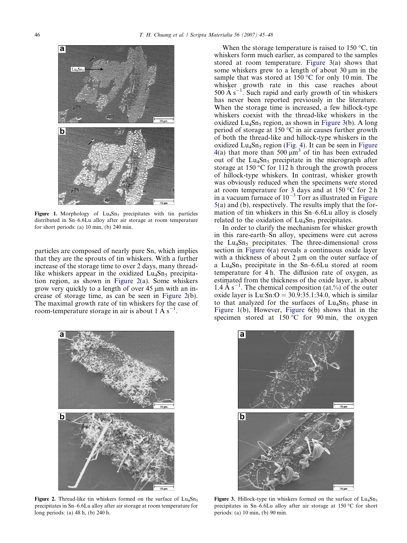<span id="page-1-0"></span>

Figure 1. Morphology of  $Lu_4Sn_5$  precipitates with tin particles distributed in Sn–6.6Lu alloy after air storage at room temperature for short periods: (a) 10 min, (b) 240 min.

particles are composed of nearly pure Sn, which implies that they are the sprouts of tin whiskers. With a further increase of the storage time to over 2 days, many threadlike whiskers appear in the oxidized  $Lu_4Sn_5$  precipitation region, as shown in Figure 2(a). Some whiskers grow very quickly to a length of over  $45 \mu m$  with an increase of storage time, as can be seen in Figure 2(b). The maximal growth rate of tin whiskers for the case of room-temperature storage in air is about 1 Å  $s^{-1}$ .



Figure 2. Thread-like tin whiskers formed on the surface of  $Lu_4Sn_5$ precipitates in Sn–6.6Lu alloy after air storage at room temperature for long periods: (a) 48 h, (b) 240 h.

When the storage temperature is raised to  $150^{\circ}$ C, tin whiskers form much earlier, as compared to the samples stored at room temperature. Figure 3(a) shows that some whiskers grew to a length of about  $30 \mu m$  in the sample that was stored at  $150^{\circ}$ C for only 10 min. The whisker growth rate in this case reaches about 500 Å  $s^{-1}$ . Such rapid and early growth of tin whiskers has never been reported previously in the literature. When the storage time is increased, a few hillock-type whiskers coexist with the thread-like whiskers in the oxidized  $Lu_4Sn_5$  region, as shown in Figure 3(b). A long period of storage at 150  $\degree$ C in air causes further growth of both the thread-like and hillock-type whiskers in the oxidized  $Lu_4Sn_5$  region ([Fig. 4\)](#page-2-0). It can be seen in [Figure](#page-2-0) [4\(](#page-2-0)a) that more than 500  $\mu$ m<sup>3</sup> of tin has been extruded out of the  $Lu_4Sn_5$  precipitate in the micrograph after storage at  $150 \degree C$  for  $112$  h through the growth process of hillock-type whiskers. In contrast, whisker growth was obviously reduced when the specimens were stored at room temperature for 3 days and at  $150^{\circ}$ C for 2 h in a vacuum furnace of  $10^{-3}$  Torr as illustrated in [Figure](#page-2-0) [5\(](#page-2-0)a) and (b), respectively. The results imply that the formation of tin whiskers in this Sn–6.6Lu alloy is closely related to the oxidation of  $Lu_4Sn_5$  precipitates.

In order to clarify the mechanism for whisker growth in this rare-earth–Sn alloy, specimens were cut across the  $Lu_4Sn_5$  precipitates. The three-dimensional cross section in [Figure 6](#page-2-0)(a) reveals a continuous oxide layer with a thickness of about  $2 \mu m$  on the outer surface of a Lu<sub>4</sub>Sn<sub>5</sub> precipitate in the Sn–6.6Lu stored at room temperature for 4 h. The diffusion rate of oxygen, as estimated from the thickness of the oxide layer, is about 1.4 Å  $s^{-1}$ . The chemical composition (at.%) of the outer oxide layer is  $Lu:Sn:O = 30.9:35.1:34.0$ , which is similar to that analyzed for the surfaces of  $Lu_4Sn_5$  phase in Figure 1(b), However, [Figure 6\(](#page-2-0)b) shows that in the specimen stored at  $150^{\circ}$ C for 90 min, the oxygen



Figure 3. Hillock-type tin whiskers formed on the surface of  $Lu_4Sn_5$ precipitates in Sn–6.6Lu alloy after air storage at  $150\,^{\circ}\text{C}$  for short periods: (a) 10 min, (b) 90 min.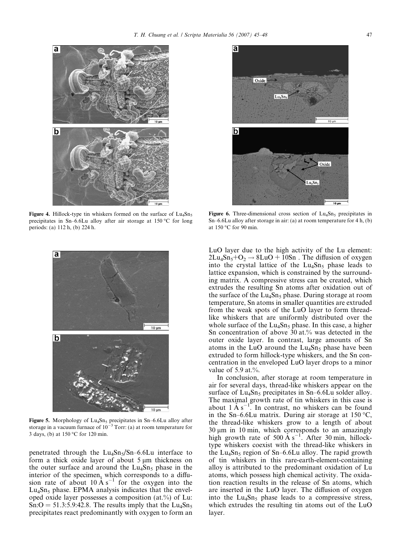<span id="page-2-0"></span>

Figure 4. Hillock-type tin whiskers formed on the surface of  $Lu_4Sn_5$ precipitates in Sn–6.6Lu alloy after air storage at  $150\,^{\circ}\text{C}$  for long periods: (a) 112 h, (b) 224 h.



Figure 5. Morphology of  $Lu_4Sn_5$  precipitates in Sn–6.6Lu alloy after storage in a vacuum furnace of  $10^{-3}$  Torr: (a) at room temperature for 3 days, (b) at  $150\,^{\circ}\text{C}$  for  $120\text{ min}$ .

penetrated through the  $Lu_4Sn_5/Sn-6.6Lu$  interface to form a thick oxide layer of about  $5 \mu m$  thickness on the outer surface and around the  $Lu_4Sn_5$  phase in the interior of the specimen, which corresponds to a diffusion rate of about  $10 \text{ Å s}^{-1}$  for the oxygen into the  $Lu_4Sn_5$  phase. EPMA analysis indicates that the enveloped oxide layer possesses a composition (at.%) of Lu:  $Sn:O = 51.3:5.9:42.8$ . The results imply that the Lu<sub>4</sub>Sn<sub>5</sub> precipitates react predominantly with oxygen to form an



Figure 6. Three-dimensional cross section of  $Lu<sub>4</sub>Sn<sub>5</sub>$  precipitates in Sn–6.6Lu alloy after storage in air: (a) at room temperature for 4 h, (b) at  $150\,^{\circ}$ C for 90 min.

LuO layer due to the high activity of the Lu element:  $2Lu_4Sn_5+O_2 \rightarrow 8LuO + 10Sn$ . The diffusion of oxygen into the crystal lattice of the  $Lu_4Sn_5$  phase leads to lattice expansion, which is constrained by the surrounding matrix. A compressive stress can be created, which extrudes the resulting Sn atoms after oxidation out of the surface of the  $Lu_4Sn_5$  phase. During storage at room temperature, Sn atoms in smaller quantities are extruded from the weak spots of the LuO layer to form threadlike whiskers that are uniformly distributed over the whole surface of the  $Lu_4Sn_5$  phase. In this case, a higher Sn concentration of above 30 at.% was detected in the outer oxide layer. In contrast, large amounts of Sn atoms in the LuO around the  $Lu_4Sn_5$  phase have been extruded to form hillock-type whiskers, and the Sn concentration in the enveloped LuO layer drops to a minor value of 5.9 at.%.

In conclusion, after storage at room temperature in air for several days, thread-like whiskers appear on the surface of  $Lu_4Sn_5$  precipitates in Sn–6.6Lu solder alloy. The maximal growth rate of tin whiskers in this case is about  $1 \text{ Å } s^{-1}$ . In contrast, no whiskers can be found in the Sn–6.6Lu matrix. During air storage at  $150^{\circ}$ C, the thread-like whiskers grow to a length of about  $30 \mu m$  in 10 min, which corresponds to an amazingly high growth rate of 500  $\mathring{A}$  s<sup>-1</sup>. After 30 min, hillocktype whiskers coexist with the thread-like whiskers in the  $Lu_4Sn_5$  region of Sn–6.6Lu alloy. The rapid growth of tin whiskers in this rare-earth-element-containing alloy is attributed to the predominant oxidation of Lu atoms, which possess high chemical activity. The oxidation reaction results in the release of Sn atoms, which are inserted in the LuO layer. The diffusion of oxygen into the  $Lu_4Sn_5$  phase leads to a compressive stress, which extrudes the resulting tin atoms out of the LuO layer.